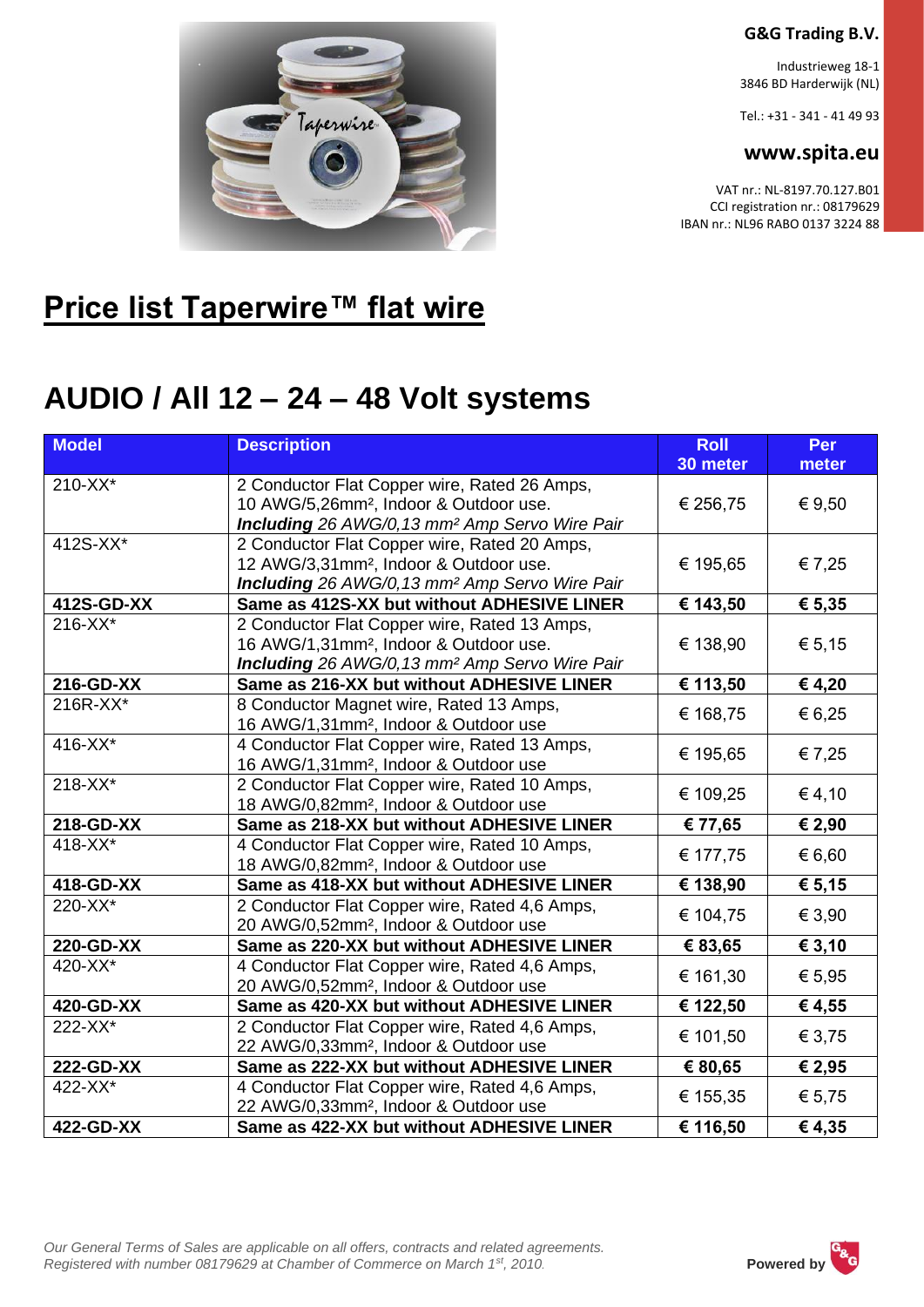#### **G&G Trading B.V.**

Industrieweg 18-1 3846 BD Harderwijk (NL)

Tel.: +31 - 341 - 41 49 93

#### **www.spita.eu**

VAT nr.: NL-8197.70.127.B01 CCI registration nr.: 08179629 IBAN nr.: NL96 RABO 0137 3224 88



### **Price list Taperwire™ flat wire**

## **AUDIO / All 12 – 24 – 48 Volt systems**

| <b>Model</b> | <b>Description</b>                                                                                                                                                      | <b>Roll</b><br>30 meter      | Per<br>meter |
|--------------|-------------------------------------------------------------------------------------------------------------------------------------------------------------------------|------------------------------|--------------|
| 210-XX*      | 2 Conductor Flat Copper wire, Rated 26 Amps,<br>10 AWG/5,26mm <sup>2</sup> , Indoor & Outdoor use.<br>Including 26 AWG/0, 13 mm <sup>2</sup> Amp Servo Wire Pair        | € 256,75                     | € 9,50       |
| 412S-XX*     | 2 Conductor Flat Copper wire, Rated 20 Amps,<br>12 AWG/3,31mm <sup>2</sup> , Indoor & Outdoor use.<br>Including 26 AWG/0, 13 mm <sup>2</sup> Amp Servo Wire Pair        | € 195,65                     | € 7,25       |
| 412S-GD-XX   | Same as 412S-XX but without ADHESIVE LINER                                                                                                                              | € 143,50                     | € 5,35       |
| 216-XX*      | 2 Conductor Flat Copper wire, Rated 13 Amps,<br>16 AWG/1,31mm <sup>2</sup> , Indoor & Outdoor use.<br><b>Including</b> 26 AWG/0, 13 mm <sup>2</sup> Amp Servo Wire Pair | € 138,90                     | € 5,15       |
| 216-GD-XX    | Same as 216-XX but without ADHESIVE LINER                                                                                                                               | € 113,50                     | € 4,20       |
| 216R-XX*     | 8 Conductor Magnet wire, Rated 13 Amps,<br>16 AWG/1,31mm <sup>2</sup> , Indoor & Outdoor use                                                                            | € 168,75                     | € 6,25       |
| 416-XX*      | 4 Conductor Flat Copper wire, Rated 13 Amps,<br>16 AWG/1,31mm <sup>2</sup> , Indoor & Outdoor use                                                                       | € 195,65                     | € 7,25       |
| 218-XX*      | 2 Conductor Flat Copper wire, Rated 10 Amps,<br>18 AWG/0,82mm <sup>2</sup> , Indoor & Outdoor use                                                                       | € 109,25                     | € 4,10       |
| 218-GD-XX    | Same as 218-XX but without ADHESIVE LINER                                                                                                                               | € 77,65                      | € 2,90       |
| 418-XX*      | 4 Conductor Flat Copper wire, Rated 10 Amps,<br>18 AWG/0,82mm <sup>2</sup> , Indoor & Outdoor use                                                                       | € 177,75                     | € 6,60       |
| 418-GD-XX    | Same as 418-XX but without ADHESIVE LINER                                                                                                                               | € 138,90                     | € 5,15       |
| 220-XX*      | 2 Conductor Flat Copper wire, Rated 4,6 Amps,<br>20 AWG/0,52mm <sup>2</sup> , Indoor & Outdoor use                                                                      | € 104,75                     | € 3,90       |
| 220-GD-XX    | Same as 220-XX but without ADHESIVE LINER                                                                                                                               | € 83,65                      | € 3,10       |
| 420-XX*      | 4 Conductor Flat Copper wire, Rated 4,6 Amps,<br>20 AWG/0,52mm <sup>2</sup> , Indoor & Outdoor use                                                                      | € 161,30                     | € 5,95       |
| 420-GD-XX    | Same as 420-XX but without ADHESIVE LINER                                                                                                                               | € 122,50                     | € 4,55       |
| 222-XX*      | 2 Conductor Flat Copper wire, Rated 4,6 Amps,<br>22 AWG/0,33mm <sup>2</sup> , Indoor & Outdoor use                                                                      | € 101,50                     | € 3,75       |
| 222-GD-XX    | Same as 222-XX but without ADHESIVE LINER                                                                                                                               | € 80,65                      | € 2,95       |
| 422-XX*      | 4 Conductor Flat Copper wire, Rated 4,6 Amps,<br>22 AWG/0,33mm <sup>2</sup> , Indoor & Outdoor use                                                                      | € 155,35                     | € 5,75       |
| 422-GD-XX    | Same as 422-XX but without ADHESIVE LINER                                                                                                                               | $\overline{\epsilon}$ 116,50 | €4,35        |